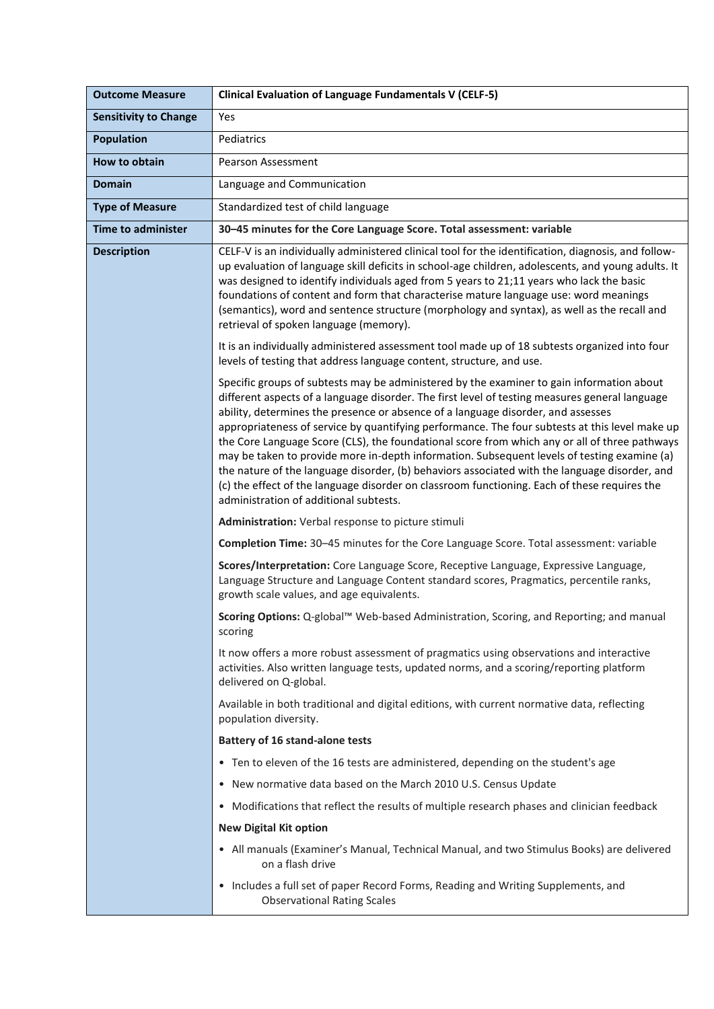| <b>Outcome Measure</b>       | <b>Clinical Evaluation of Language Fundamentals V (CELF-5)</b>                                                                                                                                                                                                                                                                                                                                                                                                                                                                                                                                                                                                                                                                                                                                                               |
|------------------------------|------------------------------------------------------------------------------------------------------------------------------------------------------------------------------------------------------------------------------------------------------------------------------------------------------------------------------------------------------------------------------------------------------------------------------------------------------------------------------------------------------------------------------------------------------------------------------------------------------------------------------------------------------------------------------------------------------------------------------------------------------------------------------------------------------------------------------|
| <b>Sensitivity to Change</b> | Yes                                                                                                                                                                                                                                                                                                                                                                                                                                                                                                                                                                                                                                                                                                                                                                                                                          |
| <b>Population</b>            | Pediatrics                                                                                                                                                                                                                                                                                                                                                                                                                                                                                                                                                                                                                                                                                                                                                                                                                   |
| How to obtain                | <b>Pearson Assessment</b>                                                                                                                                                                                                                                                                                                                                                                                                                                                                                                                                                                                                                                                                                                                                                                                                    |
| <b>Domain</b>                | Language and Communication                                                                                                                                                                                                                                                                                                                                                                                                                                                                                                                                                                                                                                                                                                                                                                                                   |
| <b>Type of Measure</b>       | Standardized test of child language                                                                                                                                                                                                                                                                                                                                                                                                                                                                                                                                                                                                                                                                                                                                                                                          |
| <b>Time to administer</b>    | 30-45 minutes for the Core Language Score. Total assessment: variable                                                                                                                                                                                                                                                                                                                                                                                                                                                                                                                                                                                                                                                                                                                                                        |
| <b>Description</b>           | CELF-V is an individually administered clinical tool for the identification, diagnosis, and follow-<br>up evaluation of language skill deficits in school-age children, adolescents, and young adults. It<br>was designed to identify individuals aged from 5 years to 21;11 years who lack the basic<br>foundations of content and form that characterise mature language use: word meanings<br>(semantics), word and sentence structure (morphology and syntax), as well as the recall and<br>retrieval of spoken language (memory).                                                                                                                                                                                                                                                                                       |
|                              | It is an individually administered assessment tool made up of 18 subtests organized into four<br>levels of testing that address language content, structure, and use.                                                                                                                                                                                                                                                                                                                                                                                                                                                                                                                                                                                                                                                        |
|                              | Specific groups of subtests may be administered by the examiner to gain information about<br>different aspects of a language disorder. The first level of testing measures general language<br>ability, determines the presence or absence of a language disorder, and assesses<br>appropriateness of service by quantifying performance. The four subtests at this level make up<br>the Core Language Score (CLS), the foundational score from which any or all of three pathways<br>may be taken to provide more in-depth information. Subsequent levels of testing examine (a)<br>the nature of the language disorder, (b) behaviors associated with the language disorder, and<br>(c) the effect of the language disorder on classroom functioning. Each of these requires the<br>administration of additional subtests. |
|                              | Administration: Verbal response to picture stimuli                                                                                                                                                                                                                                                                                                                                                                                                                                                                                                                                                                                                                                                                                                                                                                           |
|                              | Completion Time: 30-45 minutes for the Core Language Score. Total assessment: variable                                                                                                                                                                                                                                                                                                                                                                                                                                                                                                                                                                                                                                                                                                                                       |
|                              | Scores/Interpretation: Core Language Score, Receptive Language, Expressive Language,<br>Language Structure and Language Content standard scores, Pragmatics, percentile ranks,<br>growth scale values, and age equivalents.                                                                                                                                                                                                                                                                                                                                                                                                                                                                                                                                                                                                  |
|                              | Scoring Options: Q-global™ Web-based Administration, Scoring, and Reporting; and manual<br>scoring                                                                                                                                                                                                                                                                                                                                                                                                                                                                                                                                                                                                                                                                                                                           |
|                              | It now offers a more robust assessment of pragmatics using observations and interactive<br>activities. Also written language tests, updated norms, and a scoring/reporting platform<br>delivered on Q-global.                                                                                                                                                                                                                                                                                                                                                                                                                                                                                                                                                                                                                |
|                              | Available in both traditional and digital editions, with current normative data, reflecting<br>population diversity.                                                                                                                                                                                                                                                                                                                                                                                                                                                                                                                                                                                                                                                                                                         |
|                              | <b>Battery of 16 stand-alone tests</b>                                                                                                                                                                                                                                                                                                                                                                                                                                                                                                                                                                                                                                                                                                                                                                                       |
|                              | • Ten to eleven of the 16 tests are administered, depending on the student's age                                                                                                                                                                                                                                                                                                                                                                                                                                                                                                                                                                                                                                                                                                                                             |
|                              | • New normative data based on the March 2010 U.S. Census Update                                                                                                                                                                                                                                                                                                                                                                                                                                                                                                                                                                                                                                                                                                                                                              |
|                              | Modifications that reflect the results of multiple research phases and clinician feedback<br>$\bullet$                                                                                                                                                                                                                                                                                                                                                                                                                                                                                                                                                                                                                                                                                                                       |
|                              | <b>New Digital Kit option</b>                                                                                                                                                                                                                                                                                                                                                                                                                                                                                                                                                                                                                                                                                                                                                                                                |
|                              | • All manuals (Examiner's Manual, Technical Manual, and two Stimulus Books) are delivered<br>on a flash drive                                                                                                                                                                                                                                                                                                                                                                                                                                                                                                                                                                                                                                                                                                                |
|                              | • Includes a full set of paper Record Forms, Reading and Writing Supplements, and<br><b>Observational Rating Scales</b>                                                                                                                                                                                                                                                                                                                                                                                                                                                                                                                                                                                                                                                                                                      |